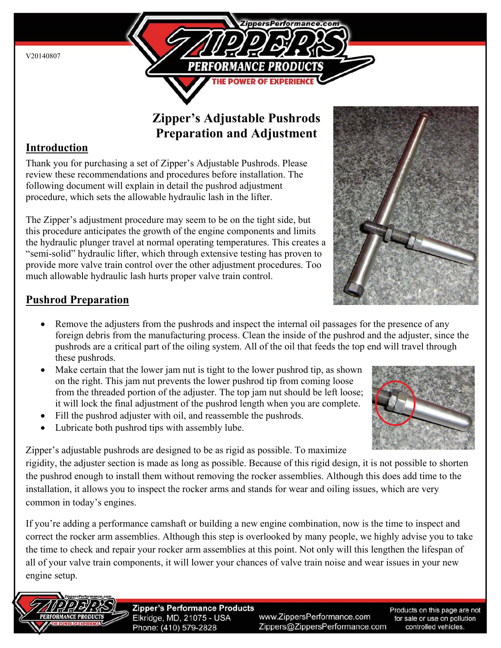

# **Zipper's Adjustable Pushrods Preparation and Adjustment**

## **Introduction**

Thank you for purchasing a set of Zipper's Adjustable Pushrods. Please review these recommendations and procedures before installation. The following document will explain in detail the pushrod adjustment procedure, which sets the allowable hydraulic lash in the lifter.

The Zipper's adjustment procedure may seem to be on the tight side, but this procedure anticipates the growth of the engine components and limits the hydraulic plunger travel at normal operating temperatures. This creates a "semi-solid" hydraulic lifter, which through extensive testing has proven to provide more valve train control over the other adjustment procedures. Too much allowable hydraulic lash hurts proper valve train control.

## **Pushrod Preparation**

- Remove the adjusters from the pushrods and inspect the internal oil passages for the presence of any foreign debris from the manufacturing process. Clean the inside of the pushrod and the adjuster, since the pushrods are a critical part of the oiling system. All of the oil that feeds the top end will travel through these pushrods.
- Make certain that the lower jam nut is tight to the lower pushrod tip, as shown on the right. This jam nut prevents the lower pushrod tip from coming loose from the threaded portion of the adjuster. The top jam nut should be left loose; it will lock the final adjustment of the pushrod length when you are complete.
- Fill the pushrod adjuster with oil, and reassemble the pushrods.
- Lubricate both pushrod tips with assembly lube.

Zipper's adjustable pushrods are designed to be as rigid as possible. To maximize

rigidity, the adjuster section is made as long as possible. Because of this rigid design, it is not possible to shorten the pushrod enough to install them without removing the rocker assemblies. Although this does add time to the installation, it allows you to inspect the rocker arms and stands for wear and oiling issues, which are very common in today's engines.

If you're adding a performance camshaft or building a new engine combination, now is the time to inspect and correct the rocker arm assemblies. Although this step is overlooked by many people, we highly advise you to take the time to check and repair your rocker arm assemblies at this point. Not only will this lengthen the lifespan of all of your valve train components, it will lower your chances of valve train noise and wear issues in your new engine setup.



**Zipper's Performance Products** Elkridge, MD, 21075 - USA Phone: (410) 579-2828

www.ZippersPerformance.com Zippers@ZippersPerformance.com

Products on this page are not for sale or use on pollution controlled vehicles.

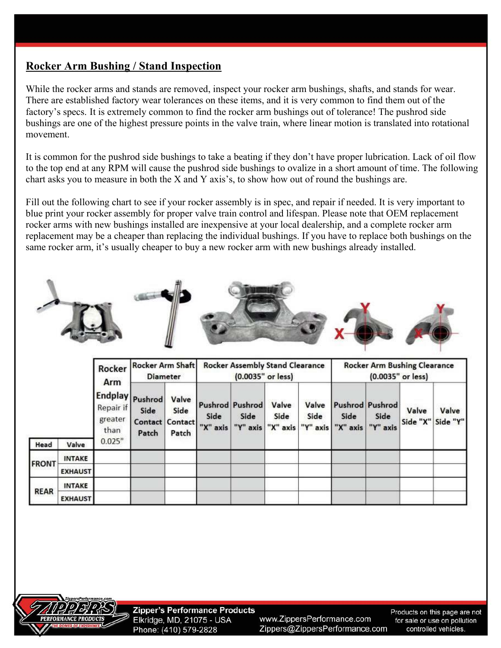#### **Rocker Arm Bushing / Stand Inspection**

While the rocker arms and stands are removed, inspect your rocker arm bushings, shafts, and stands for wear. There are established factory wear tolerances on these items, and it is very common to find them out of the factory's specs. It is extremely common to find the rocker arm bushings out of tolerance! The pushrod side bushings are one of the highest pressure points in the valve train, where linear motion is translated into rotational movement.

It is common for the pushrod side bushings to take a beating if they don't have proper lubrication. Lack of oil flow to the top end at any RPM will cause the pushrod side bushings to ovalize in a short amount of time. The following chart asks you to measure in both the X and Y axis's, to show how out of round the bushings are.

Fill out the following chart to see if your rocker assembly is in spec, and repair if needed. It is very important to blue print your rocker assembly for proper valve train control and lifespan. Please note that OEM replacement rocker arms with new bushings installed are inexpensive at your local dealership, and a complete rocker arm replacement may be a cheaper than replacing the individual bushings. If you have to replace both bushings on the same rocker arm, it's usually cheaper to buy a new rocker arm with new bushings already installed.



|              |                | Rocker<br>Arm<br><b>Endplay</b><br>Repair if<br>greater<br>than<br>0.025" | <b>Rocker Arm Shaft</b><br><b>Diameter</b>  |                        | <b>Rocker Assembly Stand Clearance</b><br>(0.0035" or less) |                                     |               |               | <b>Rocker Arm Bushing Clearance</b><br>$(0.0035"$ or less) |                                            |       |                            |
|--------------|----------------|---------------------------------------------------------------------------|---------------------------------------------|------------------------|-------------------------------------------------------------|-------------------------------------|---------------|---------------|------------------------------------------------------------|--------------------------------------------|-------|----------------------------|
|              |                |                                                                           | Pushrod<br>Side<br>Contact Contact<br>Patch | Valve<br>Side<br>Patch | Side<br>"X" axis                                            | Pushrod Pushrod<br>Side<br>"Y" axis | Valve<br>Side | Valve<br>Side | Side<br>"X" axis "Y" axis "X" axis                         | <b>Pushrod Pushrod</b><br>Side<br>"Y" axis | Valve | Valve<br>Side "X" Side "Y" |
| Head         | Valve          |                                                                           |                                             |                        |                                                             |                                     |               |               |                                                            |                                            |       |                            |
| <b>FRONT</b> | <b>INTAKE</b>  |                                                                           |                                             |                        |                                                             |                                     |               |               |                                                            |                                            |       |                            |
|              | <b>EXHAUST</b> |                                                                           |                                             |                        |                                                             |                                     |               |               |                                                            |                                            |       |                            |
| <b>REAR</b>  | <b>INTAKE</b>  |                                                                           |                                             |                        |                                                             |                                     |               |               |                                                            |                                            |       |                            |
|              | <b>EXHAUST</b> |                                                                           |                                             |                        |                                                             |                                     |               |               |                                                            |                                            |       |                            |

**Zipper's Performance Products** Elkridge, MD, 21075 - USA Phone: (410) 579-2828

www.ZippersPerformance.com Zippers@ZippersPerformance.com

Products on this page are not for sale or use on pollution controlled vehicles.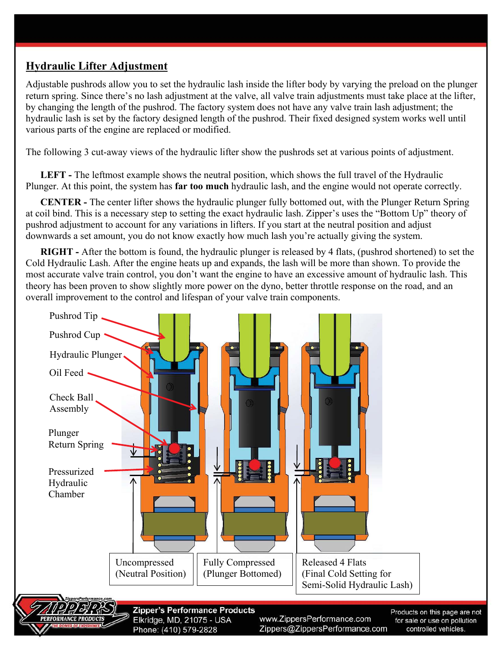### **Hydraulic Lifter Adjustment**

Adjustable pushrods allow you to set the hydraulic lash inside the lifter body by varying the preload on the plunger return spring. Since there's no lash adjustment at the valve, all valve train adjustments must take place at the lifter, by changing the length of the pushrod. The factory system does not have any valve train lash adjustment; the hydraulic lash is set by the factory designed length of the pushrod. Their fixed designed system works well until various parts of the engine are replaced or modified.

The following 3 cut-away views of the hydraulic lifter show the pushrods set at various points of adjustment.

**LEFT -** The leftmost example shows the neutral position, which shows the full travel of the Hydraulic Plunger. At this point, the system has **far too much** hydraulic lash, and the engine would not operate correctly.

**CENTER -** The center lifter shows the hydraulic plunger fully bottomed out, with the Plunger Return Spring at coil bind. This is a necessary step to setting the exact hydraulic lash. Zipper's uses the "Bottom Up" theory of pushrod adjustment to account for any variations in lifters. If you start at the neutral position and adjust downwards a set amount, you do not know exactly how much lash you're actually giving the system.

**RIGHT -** After the bottom is found, the hydraulic plunger is released by 4 flats, (pushrod shortened) to set the Cold Hydraulic Lash. After the engine heats up and expands, the lash will be more than shown. To provide the most accurate valve train control, you don't want the engine to have an excessive amount of hydraulic lash. This theory has been proven to show slightly more power on the dyno, better throttle response on the road, and an overall improvement to the control and lifespan of your valve train components.